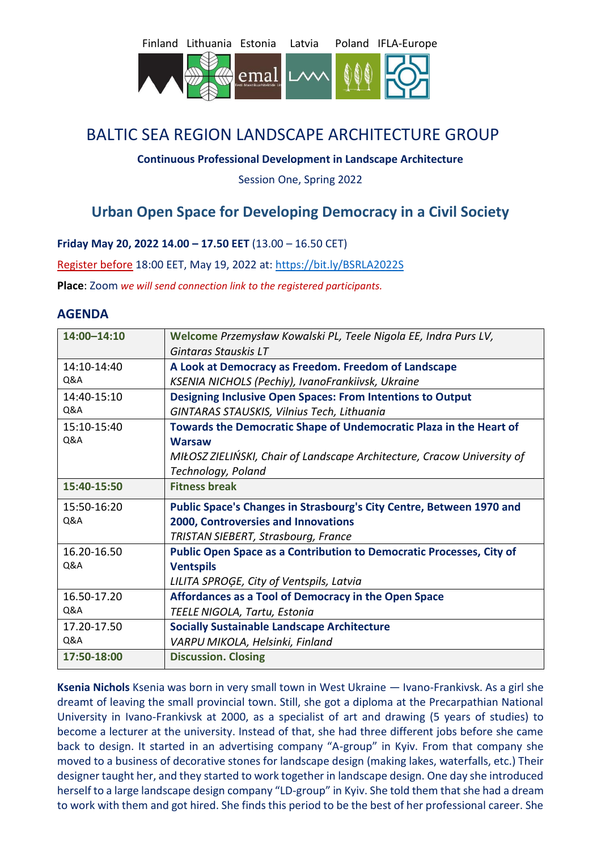



# BALTIC SEA REGION LANDSCAPE ARCHITECTURE GROUP

### **Continuous Professional Development in Landscape Architecture**

Session One, Spring 2022

## **Urban Open Space for Developing Democracy in a Civil Society**

**Friday May 20, 2022 14.00 – 17.50 EET** (13.00 – 16.50 CET)

Register before 18:00 EET, May 19, 2022 at:<https://bit.ly/BSRLA2022S>

**Place**: Zoom *we will send connection link to the registered participants.*

## **AGENDA**

| 14:00-14:10    | Welcome Przemysław Kowalski PL, Teele Nigola EE, Indra Purs LV,         |
|----------------|-------------------------------------------------------------------------|
|                | Gintaras Stauskis LT                                                    |
| 14:10-14:40    | A Look at Democracy as Freedom. Freedom of Landscape                    |
| Q&A            | KSENIA NICHOLS (Pechiy), IvanoFrankiivsk, Ukraine                       |
| 14:40-15:10    | <b>Designing Inclusive Open Spaces: From Intentions to Output</b>       |
| Q&A            | GINTARAS STAUSKIS, Vilnius Tech, Lithuania                              |
| 15:10-15:40    | Towards the Democratic Shape of Undemocratic Plaza in the Heart of      |
| <b>Q&amp;A</b> | <b>Warsaw</b>                                                           |
|                | MIŁOSZ ZIELIŃSKI, Chair of Landscape Architecture, Cracow University of |
|                | Technology, Poland                                                      |
| 15:40-15:50    | <b>Fitness break</b>                                                    |
| 15:50-16:20    | Public Space's Changes in Strasbourg's City Centre, Between 1970 and    |
| <b>Q&amp;A</b> | 2000, Controversies and Innovations                                     |
|                | TRISTAN SIEBERT, Strasbourg, France                                     |
| 16.20-16.50    | Public Open Space as a Contribution to Democratic Processes, City of    |
| Q&A            | <b>Ventspils</b>                                                        |
|                | LILITA SPROGE, City of Ventspils, Latvia                                |
| 16.50-17.20    | Affordances as a Tool of Democracy in the Open Space                    |
| Q&A            | TEELE NIGOLA, Tartu, Estonia                                            |
| 17.20-17.50    | <b>Socially Sustainable Landscape Architecture</b>                      |
| <b>Q&amp;A</b> | VARPU MIKOLA, Helsinki, Finland                                         |
| 17:50-18:00    | <b>Discussion. Closing</b>                                              |

**Ksenia Nichols** Ksenia was born in very small town in West Ukraine — Ivano-Frankivsk. As a girl she dreamt of leaving the small provincial town. Still, she got a diploma at the Precarpathian National University in Ivano-Frankivsk at 2000, as a specialist of art and drawing (5 years of studies) to become a lecturer at the university. Instead of that, she had three different jobs before she came back to design. It started in an advertising company "A-group" in Kyiv. From that company she moved to a business of decorative stones for landscape design (making lakes, waterfalls, etc.) Their designer taught her, and they started to work together in landscape design. One day she introduced herself to a large landscape design company "LD-group" in Kyiv. She told them that she had a dream to work with them and got hired. She finds this period to be the best of her professional career. She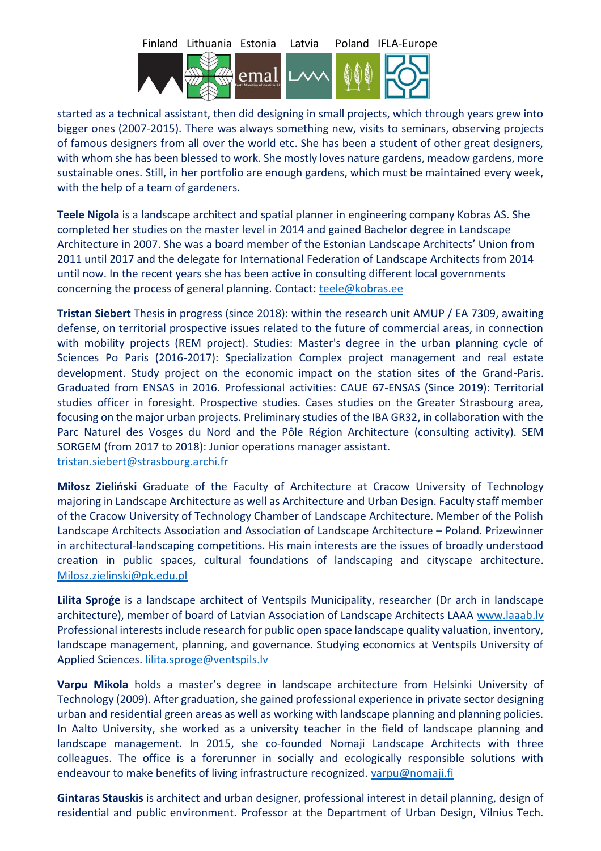

started as a technical assistant, then did designing in small projects, which through years grew into bigger ones (2007-2015). There was always something new, visits to seminars, observing projects of famous designers from all over the world etc. She has been a student of other great designers, with whom she has been blessed to work. She mostly loves nature gardens, meadow gardens, more sustainable ones. Still, in her portfolio are enough gardens, which must be maintained every week, with the help of a team of gardeners.

**Teele Nigola** is a landscape architect and spatial planner in engineering company Kobras AS. She completed her studies on the master level in 2014 and gained Bachelor degree in Landscape Architecture in 2007. She was a board member of the Estonian Landscape Architects' Union from 2011 until 2017 and the delegate for International Federation of Landscape Architects from 2014 until now. In the recent years she has been active in consulting different local governments concerning the process of general planning. Contact: [teele@kobras.ee](mailto:teele@kobras.ee)

**Tristan Siebert** Thesis in progress (since 2018): within the research unit AMUP / EA 7309, awaiting defense, on territorial prospective issues related to the future of commercial areas, in connection with mobility projects (REM project). Studies: Master's degree in the urban planning cycle of Sciences Po Paris (2016-2017): Specialization Complex project management and real estate development. Study project on the economic impact on the station sites of the Grand-Paris. Graduated from ENSAS in 2016. Professional activities: CAUE 67-ENSAS (Since 2019): Territorial studies officer in foresight. Prospective studies. Cases studies on the Greater Strasbourg area, focusing on the major urban projects. Preliminary studies of the IBA GR32, in collaboration with the Parc Naturel des Vosges du Nord and the Pôle Région Architecture (consulting activity). SEM SORGEM (from 2017 to 2018): Junior operations manager assistant. [tristan.siebert@strasbourg.archi.fr](mailto:tristan.siebert@strasbourg.archi.fr)

**Miłosz Zieliński** Graduate of the Faculty of Architecture at Cracow University of Technology majoring in Landscape Architecture as well as Architecture and Urban Design. Faculty staff member of the Cracow University of Technology Chamber of Landscape Architecture. Member of the Polish Landscape Architects Association and Association of Landscape Architecture – Poland. Prizewinner in architectural-landscaping competitions. His main interests are the issues of broadly understood creation in public spaces, cultural foundations of landscaping and cityscape architecture. [Milosz.zielinski@pk.edu.pl](mailto:Milosz.zielinski@pk.edu.pl)

**Lilita Sproģe** is a landscape architect of Ventspils Municipality, researcher (Dr arch in landscape architecture), member of board of Latvian Association of Landscape Architects LAAA [www.laaab.lv](http://www.laaab.lv/) Professional interests include research for public open space landscape quality valuation, inventory, landscape management, planning, and governance. Studying economics at Ventspils University of Applied Sciences. [lilita.sproge@ventspils.lv](mailto:lilita.sproge@ventspils.lv)

**Varpu Mikola** holds a master's degree in landscape architecture from Helsinki University of Technology (2009). After graduation, she gained professional experience in private sector designing urban and residential green areas as well as working with landscape planning and planning policies. In Aalto University, she worked as a university teacher in the field of landscape planning and landscape management. In 2015, she co-founded Nomaji Landscape Architects with three colleagues. The office is a forerunner in socially and ecologically responsible solutions with endeavour to make benefits of living infrastructure recognized. [varpu@nomaji.fi](mailto:varpu@nomaji.fi)

**Gintaras Stauskis** is architect and urban designer, professional interest in detail planning, design of residential and public environment. Professor at the Department of Urban Design, Vilnius Tech.